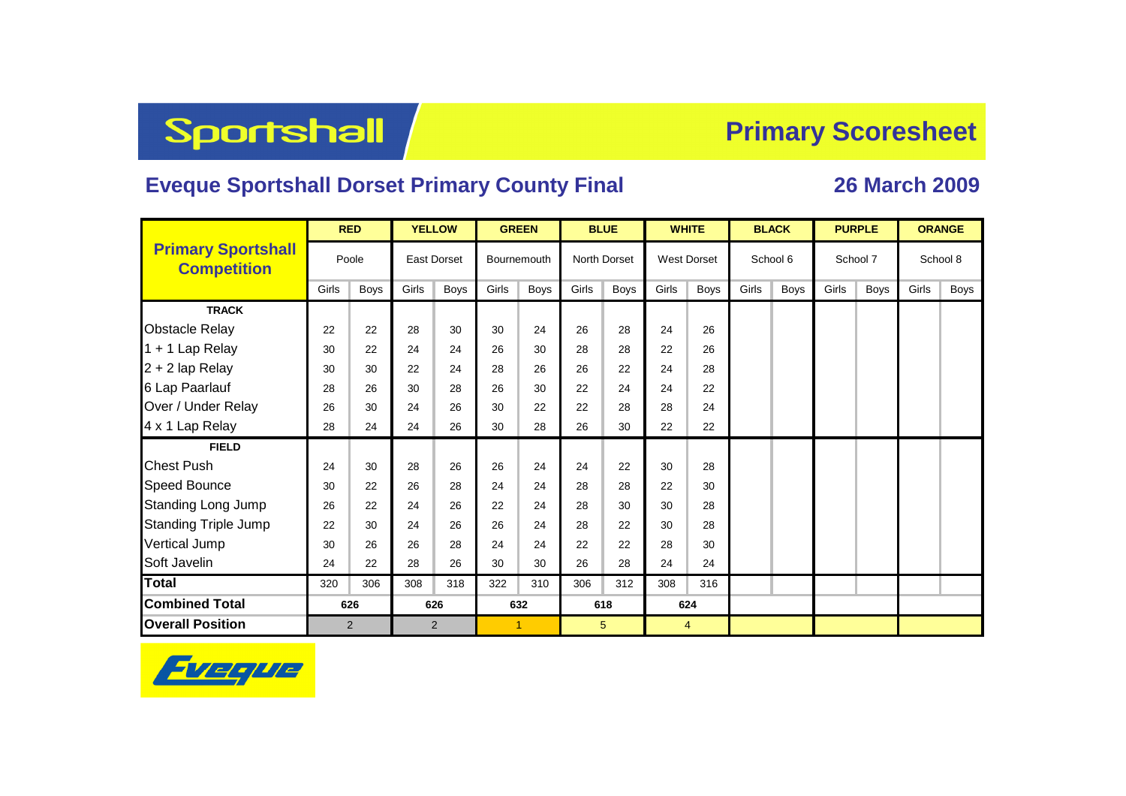## Sportshall

## **Primary Scoresheet**

## **Eveque Sportshall Dorset Primary County Final 26 March 2009**

|                                                 |       | <b>RED</b> |                    | <b>YELLOW</b> |                      | <b>GREEN</b> |       | <b>BLUE</b>         |       | <b>WHITE</b>       |       | <b>BLACK</b> |       | <b>PURPLE</b> | <b>ORANGE</b> |             |  |
|-------------------------------------------------|-------|------------|--------------------|---------------|----------------------|--------------|-------|---------------------|-------|--------------------|-------|--------------|-------|---------------|---------------|-------------|--|
| <b>Primary Sportshall</b><br><b>Competition</b> |       | Poole      | <b>East Dorset</b> |               | Bournemouth          |              |       | <b>North Dorset</b> |       | <b>West Dorset</b> |       | School 6     |       | School 7      | School 8      |             |  |
|                                                 | Girls | Boys       | Girls              | <b>Boys</b>   | Girls                | <b>Boys</b>  | Girls | Boys                | Girls | <b>Boys</b>        | Girls | <b>Boys</b>  | Girls | <b>Boys</b>   | Girls         | <b>Boys</b> |  |
| <b>TRACK</b>                                    |       |            |                    |               |                      |              |       |                     |       |                    |       |              |       |               |               |             |  |
| <b>Obstacle Relay</b>                           | 22    | 22         | 28                 | 30            | 30                   | 24           | 26    | 28                  | 24    | 26                 |       |              |       |               |               |             |  |
| 1 + 1 Lap Relay                                 | 30    | 22         | 24                 | 24            | 26                   | 30           | 28    | 28                  | 22    | 26                 |       |              |       |               |               |             |  |
| 2 + 2 lap Relay                                 | 30    | 30         | 22                 | 24            | 28                   | 26           | 26    | 22                  | 24    | 28                 |       |              |       |               |               |             |  |
| 6 Lap Paarlauf                                  | 28    | 26         | 30                 | 28            | 26                   | 30           | 22    | 24                  | 24    | 22                 |       |              |       |               |               |             |  |
| Over / Under Relay                              | 26    | 30         | 24                 | 26            | 30                   | 22           | 22    | 28                  | 28    | 24                 |       |              |       |               |               |             |  |
| 4 x 1 Lap Relay                                 | 28    | 24         | 24                 | 26            | 30                   | 28           | 26    | 30                  | 22    | 22                 |       |              |       |               |               |             |  |
| <b>FIELD</b>                                    |       |            |                    |               |                      |              |       |                     |       |                    |       |              |       |               |               |             |  |
| <b>Chest Push</b>                               | 24    | 30         | 28                 | 26            | 26                   | 24           | 24    | 22                  | 30    | 28                 |       |              |       |               |               |             |  |
| <b>Speed Bounce</b>                             | 30    | 22         | 26                 | 28            | 24                   | 24           | 28    | 28                  | 22    | 30                 |       |              |       |               |               |             |  |
| <b>Standing Long Jump</b>                       | 26    | 22         | 24                 | 26            | 22                   | 24           | 28    | 30                  | 30    | 28                 |       |              |       |               |               |             |  |
| <b>Standing Triple Jump</b>                     | 22    | 30         | 24                 | 26            | 26                   | 24           | 28    | 22                  | 30    | 28                 |       |              |       |               |               |             |  |
| <b>Vertical Jump</b>                            | 30    | 26         | 26                 | 28            | 24                   | 24           | 22    | 22                  | 28    | 30                 |       |              |       |               |               |             |  |
| Soft Javelin                                    | 24    | 22         | 28                 | 26            | 30                   | 30           | 26    | 28                  | 24    | 24                 |       |              |       |               |               |             |  |
| <b>Total</b>                                    | 320   | 306        | 308                | 318           | 322                  | 310          | 306   | 312                 | 308   | 316                |       |              |       |               |               |             |  |
| <b>Combined Total</b>                           | 626   |            | 626                |               | 632                  |              |       | 618                 |       | 624                |       |              |       |               |               |             |  |
| <b>Overall Position</b>                         | 2     |            | $\overline{2}$     |               | $\blacktriangleleft$ |              |       | $\sqrt{5}$          |       | $\overline{4}$     |       |              |       |               |               |             |  |

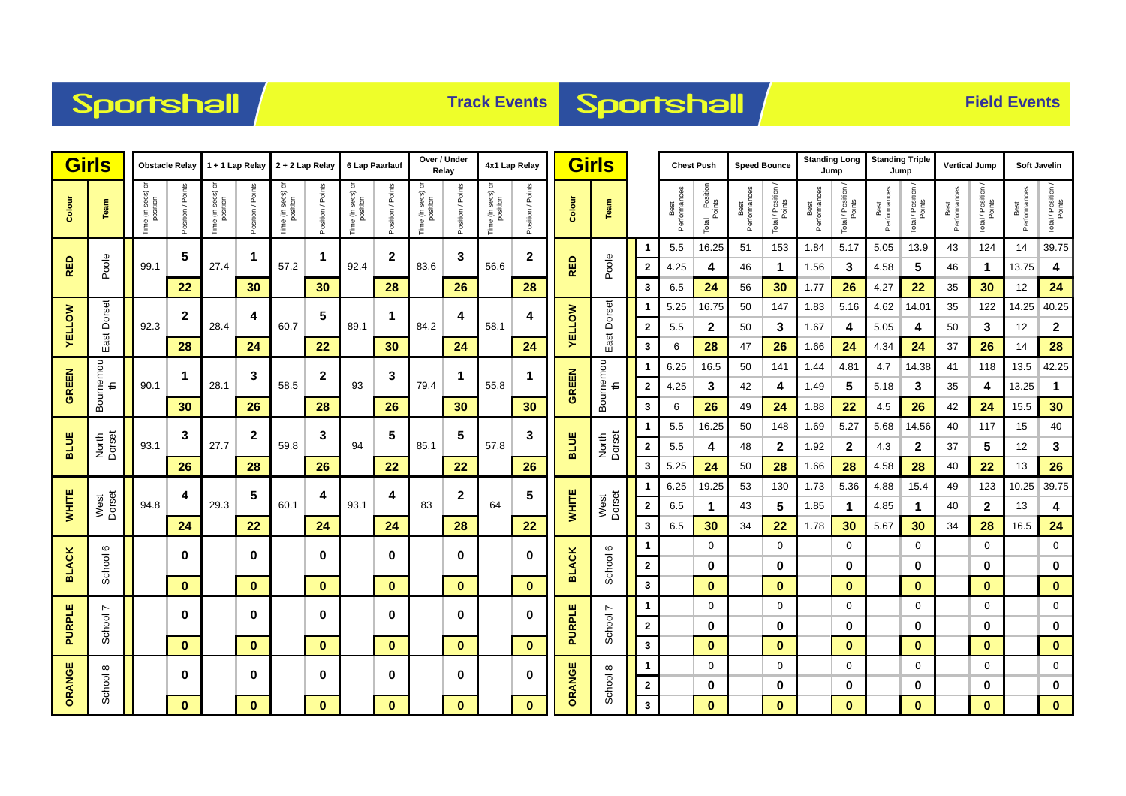



|               | <b>Girls</b><br><b>Obstacle Relay</b> |                               | 1 + 1 Lap Relay   |                       | $2 + 2$ Lap Relay    |                              | 6 Lap Paarlauf |                               | Over / Under<br>Relay |                                        | 4x1 Lap Relay |                              | <b>Girls</b>      |                 |                 | <b>Chest Push</b> |                      | <b>Speed Bounce</b>           |                      | <b>Standing Long</b><br>Jump |                      | <b>Standing Triple</b><br>Jump |                     | <b>Vertical Jump</b> |                      | Soft Javelin                 |                      |                              |
|---------------|---------------------------------------|-------------------------------|-------------------|-----------------------|----------------------|------------------------------|----------------|-------------------------------|-----------------------|----------------------------------------|---------------|------------------------------|-------------------|-----------------|-----------------|-------------------|----------------------|-------------------------------|----------------------|------------------------------|----------------------|--------------------------------|---------------------|----------------------|----------------------|------------------------------|----------------------|------------------------------|
| Colour        | Team                                  | Time (in secs) or<br>position | Position / Points | ᅙ<br>Time (in secs) o | Position / Points    | Time (in secs) c<br>position | Points<br>lim/ | Time (in secs) or<br>position | Position / Points     | ŏ<br>a (in secs) c<br>position<br>Time | tion / Poin   | Time (in secs) c<br>position | Position / Points | Colour          | Team            |                   | Best<br>Performances | I Position<br>Points<br>Total | Best<br>Performances | Total / Position             | Best<br>Performances | Total / Position               | Performance<br>Best | Total / Position     | Best<br>Performances | Total / Position /<br>Points | Best<br>Performances | Total / Position /<br>Points |
|               |                                       |                               | 5                 |                       | $\blacktriangleleft$ |                              | $\mathbf 1$    |                               | $\mathbf{2}$          |                                        | 3             |                              | 2                 |                 |                 | 1                 | 5.5                  | 16.25                         | 51                   | 153                          | 1.84                 | 5.17                           | 5.05                | 13.9                 | 43                   | 124                          | 14                   | 39.75                        |
| <b>RED</b>    | Poole                                 | 99.1                          |                   | 27.4                  |                      | 57.2                         |                | 92.4                          |                       | 83.6                                   |               | 56.6                         |                   | RED             | Poole           | $\mathbf{2}$      | 4.25                 | 4                             | 46                   | 1                            | 1.56                 | 3                              | 4.58                | 5                    | 46                   | $\blacktriangleleft$         | 13.75                | 4                            |
|               |                                       |                               | 22                |                       | 30                   |                              | 30             |                               | 28                    |                                        | 26            |                              | 28                |                 |                 | 3                 | 6.5                  | 24                            | 56                   | 30                           | 1.77                 | 26                             | 4.27                | 22                   | 35                   | 30                           | 12                   | 24                           |
|               | East Dorset                           |                               | $\mathbf{2}$      |                       | 4                    |                              | 5              |                               | 1                     | 84.2                                   | 4             |                              | 4                 |                 |                 | -1                | 5.25                 | 16.75                         | 50                   | 147                          | 1.83                 | 5.16                           | 4.62                | 14.01                | 35                   | 122                          | 14.25                | 40.25                        |
| <b>YELLOW</b> |                                       | 92.3                          |                   | 28.4                  |                      | 60.7                         |                | 89.1                          |                       |                                        |               | 58.1                         |                   | <b>AELLOM</b>   | East Dorset     | $\mathbf{2}$      | 5.5                  | $\mathbf{2}$                  | 50                   | 3                            | 1.67                 | 4                              | 5.05                | 4                    | 50                   | 3                            | 12                   | $\mathbf{2}$                 |
|               |                                       |                               | 28                |                       | 24                   |                              | 22             |                               | 30                    |                                        | 24            |                              | 24                |                 |                 | 3                 | 6                    | 28                            | 47                   | 26                           | 1.66                 | 24                             | 4.34                | 24                   | 37                   | 26                           | 14                   | 28                           |
| <b>GREEN</b>  | Bournemou                             |                               | $\mathbf{1}$      | 3                     |                      | $\boldsymbol{2}$             |                | 3                             |                       | 1                                      |               |                              |                   | Bournemou<br>th | 1               | 6.25              | 16.5                 | 50                            | 141                  | 1.44                         | 4.81                 | 4.7                            | 14.38               | 41                   | 118                  | 13.5                         | 42.25                |                              |
|               |                                       | 90.1                          |                   | 28.1                  |                      | 58.5                         |                | 93                            |                       | 79.4                                   |               | 55.8                         |                   | <b>GREEN</b>    |                 | $\mathbf{2}$      | 4.25                 | 3                             | 42                   | 4                            | 1.49                 | 5                              | 5.18                | 3                    | 35                   | 4                            | 13.25                | $\blacktriangleleft$         |
|               |                                       |                               | 30                |                       | 26                   |                              | 28             |                               | 26                    |                                        | 30            |                              | 30                |                 |                 | 3                 | 6                    | 26                            | 49                   | 24                           | 1.88                 | 22                             | 4.5                 | 26                   | 42                   | 24                           | 15.5                 | 30                           |
| <b>BLUE</b>   | North<br>Dorset                       |                               | 3                 | $\boldsymbol{2}$      |                      | 3                            |                | 5                             |                       | 5                                      | 57.8          | 3                            | <b>BLUE</b>       |                 | 1               | 5.5               | 16.25                | 50                            | 148                  | 1.69                         | 5.27                 | 5.68                           | 14.56               | 40                   | 117                  | 15                           | 40                   |                              |
|               |                                       | 93.1                          |                   | 27.7                  |                      | 59.8                         |                | 94                            |                       | 85.1                                   |               |                              |                   |                 | North<br>Dorset | $\bf{2}$          | 5.5                  | 4                             | 48                   | $\mathbf{2}$                 | 1.92                 | $\mathbf{2}$                   | 4.3                 | $\mathbf{2}$         | 37                   | 5                            | 12                   | 3                            |
|               |                                       |                               | 26                |                       | 28                   |                              | 26             |                               | 22                    |                                        | 22            |                              | 26                |                 |                 | 3                 | 5.25<br>6.25         | 24<br>19.25                   | 50<br>53             | 28<br>130                    | 1.66                 | 28<br>5.36                     | 4.58                | 28<br>15.4           | 40                   | 22<br>123                    | 13<br>10.25          | 26<br>39.75                  |
| <b>WHITE</b>  | West<br>Dorset                        | 94.8                          | 4                 | 29.3                  | 5                    | 60.1                         | 4              | 93.1                          | 4                     | 83                                     | 2             | 64                           | 5<br>22           | <b>WHITE</b>    | West<br>Dorset  | 1<br>$\mathbf{2}$ | 6.5                  | $\mathbf 1$                   | 43                   | 5                            | 1.73<br>1.85         | 1                              | 4.88<br>4.85        | $\mathbf 1$          | 49<br>40             | $\mathbf{2}$                 | 13                   | 4                            |
|               |                                       |                               | 24                |                       | 22                   |                              | 24             |                               | 24                    |                                        | 28            |                              |                   |                 |                 | 3                 | 6.5                  | 30                            | 34                   | 22                           | 1.78                 | 30                             | 5.67                | 30                   | 34                   | 28                           | 16.5                 | 24                           |
|               |                                       |                               |                   |                       |                      |                              |                |                               |                       |                                        |               |                              |                   |                 |                 | 1                 |                      | 0                             |                      | $\mathbf 0$                  |                      | $\mathbf 0$                    |                     | $\mathbf 0$          |                      | $\mathbf 0$                  |                      | $\mathbf 0$                  |
| <b>BLACK</b>  | School 6                              |                               | 0                 |                       | $\bf{0}$             |                              | $\bf{0}$       |                               | 0                     |                                        | $\bf{0}$      |                              | 0                 | <b>BLACK</b>    | School 6        | $\mathbf{2}$      |                      | 0                             |                      | 0                            |                      | 0                              |                     | 0                    |                      | 0                            |                      | $\bf{0}$                     |
|               |                                       |                               | $\bf{0}$          | $\mathbf{0}$          |                      | $\mathbf{0}$                 |                | $\mathbf{0}$                  |                       | $\mathbf{0}$                           |               | $\bf{0}$                     |                   |                 | 3               |                   | $\mathbf 0$          |                               | $\mathbf{0}$         |                              | $\pmb{0}$            |                                | $\mathbf{0}$        |                      | $\mathbf{0}$         |                              | $\mathbf{0}$         |                              |
|               | $\overline{ }$                        |                               |                   |                       |                      |                              |                |                               |                       |                                        |               |                              |                   |                 |                 | 1                 |                      | 0                             |                      | $\mathbf 0$                  |                      | $\mathbf 0$                    |                     | 0                    |                      | 0                            |                      | $\mathbf 0$                  |
| <b>PURPLE</b> | School                                |                               | $\bf{0}$          | $\bf{0}$<br>$\bf{0}$  |                      |                              | $\bf{0}$       |                               | 0                     |                                        | $\bf{0}$      |                              | 0                 | <b>PURPLE</b>   | School 7        | $\mathbf{2}$      |                      | 0                             |                      | 0                            |                      | 0                              |                     | 0                    |                      | 0                            |                      | $\bf{0}$                     |
|               |                                       |                               | $\bf{0}$          |                       |                      | $\mathbf{0}$                 |                | $\mathbf{0}$                  |                       | $\mathbf{0}$                           |               | $\bf{0}$                     |                   |                 | 3               |                   | $\mathbf{0}$         |                               | $\bf{0}$             |                              | $\bf{0}$             |                                | $\bf{0}$            |                      | $\bf{0}$             |                              | $\mathbf{0}$         |                              |
| ORANGE        |                                       |                               | 0                 |                       |                      |                              | $\bf{0}$       |                               | 0                     |                                        | $\bf{0}$      |                              | $\bf{0}$          |                 |                 | 1                 |                      | 0                             |                      | $\mathbf 0$                  |                      | 0                              |                     | 0                    |                      | 0                            |                      | $\mathbf 0$                  |
|               | School 8                              |                               |                   |                       | $\mathbf 0$          |                              |                |                               |                       |                                        |               |                              |                   | ORANGE          | School 8        | $\mathbf{2}$      |                      | 0                             |                      | 0                            |                      | 0                              |                     | 0                    |                      | 0                            |                      | $\pmb{0}$                    |
|               |                                       |                               | $\bf{0}$          | $\bf{0}$              |                      | $\mathbf{0}$                 |                | $\bf{0}$                      |                       | $\mathbf{0}$                           |               | $\bf{0}$                     |                   |                 | $\mathbf{3}$    |                   | $\mathbf{0}$         |                               | $\bf{0}$             |                              | $\bf{0}$             |                                | $\bf{0}$            |                      | $\bf{0}$             |                              | $\mathbf{0}$         |                              |